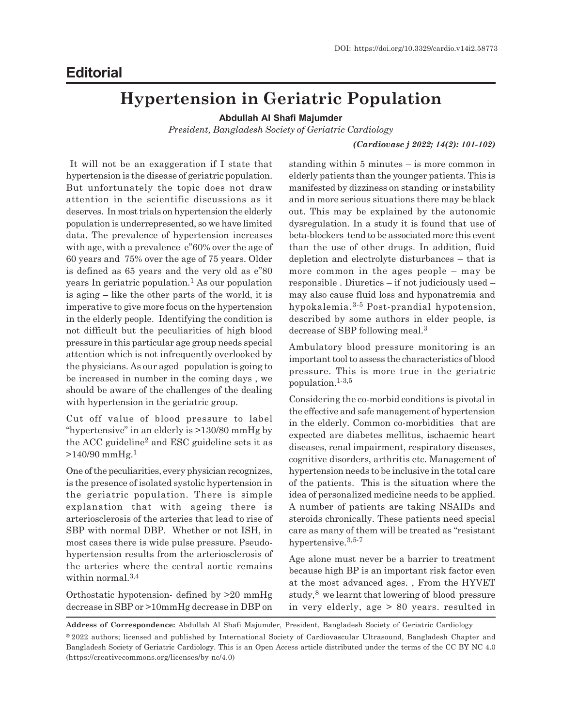# **Editorial**

# **Hypertension in Geriatric Population**

**Abdullah Al Shafi Majumder**

*President, Bangladesh Society of Geriatric Cardiology*

## *(Cardiovasc j 2022; 14(2): 101-102)*

 It will not be an exaggeration if I state that hypertension is the disease of geriatric population. But unfortunately the topic does not draw attention in the scientific discussions as it deserves. In most trials on hypertension the elderly population is underrepresented, so we have limited data. The prevalence of hypertension increases with age, with a prevalence e"60% over the age of 60 years and 75% over the age of 75 years. Older is defined as 65 years and the very old as e"80 years In geriatric population.<sup>1</sup> As our population is aging – like the other parts of the world, it is imperative to give more focus on the hypertension in the elderly people. Identifying the condition is not difficult but the peculiarities of high blood pressure in this particular age group needs special attention which is not infrequently overlooked by the physicians. As our aged population is going to be increased in number in the coming days , we should be aware of the challenges of the dealing with hypertension in the geriatric group.

Cut off value of blood pressure to label "hypertensive" in an elderly is >130/80 mmHg by the ACC guideline<sup>2</sup> and ESC guideline sets it as  $>140/90$  mmHg.<sup>1</sup>

One of the peculiarities, every physician recognizes, is the presence of isolated systolic hypertension in the geriatric population. There is simple explanation that with ageing there is arteriosclerosis of the arteries that lead to rise of SBP with normal DBP. Whether or not ISH, in most cases there is wide pulse pressure. Pseudohypertension results from the arteriosclerosis of the arteries where the central aortic remains within normal.<sup>3,4</sup>

Orthostatic hypotension- defined by >20 mmHg decrease in SBP or >10mmHg decrease in DBP on standing within 5 minutes – is more common in elderly patients than the younger patients. This is manifested by dizziness on standing or instability and in more serious situations there may be black out. This may be explained by the autonomic dysregulation. In a study it is found that use of beta-blockers tend to be associated more this event than the use of other drugs. In addition, fluid depletion and electrolyte disturbances – that is more common in the ages people – may be responsible . Diuretics – if not judiciously used – may also cause fluid loss and hyponatremia and hypokalemia.3-5 Post-prandial hypotension, described by some authors in elder people, is decrease of SBP following meal.<sup>3</sup>

Ambulatory blood pressure monitoring is an important tool to assess the characteristics of blood pressure. This is more true in the geriatric population.1-3,5

Considering the co-morbid conditions is pivotal in the effective and safe management of hypertension in the elderly. Common co-morbidities that are expected are diabetes mellitus, ischaemic heart diseases, renal impairment, respiratory diseases, cognitive disorders, arthritis etc. Management of hypertension needs to be inclusive in the total care of the patients. This is the situation where the idea of personalized medicine needs to be applied. A number of patients are taking NSAIDs and steroids chronically. These patients need special care as many of them will be treated as "resistant hypertensive.3,5-7

Age alone must never be a barrier to treatment because high BP is an important risk factor even at the most advanced ages. , From the HYVET study,<sup>8</sup> we learnt that lowering of blood pressure in very elderly, age > 80 years. resulted in

**Address of Correspondence:** Abdullah Al Shafi Majumder, President, Bangladesh Society of Geriatric Cardiology

<sup>©2022</sup> authors; licensed and published by International Society of Cardiovascular Ultrasound, Bangladesh Chapter and Bangladesh Society of Geriatric Cardiology. This is an Open Access article distributed under the terms of the CC BY NC 4.0 (https://creativecommons.org/licenses/by-nc/4.0)